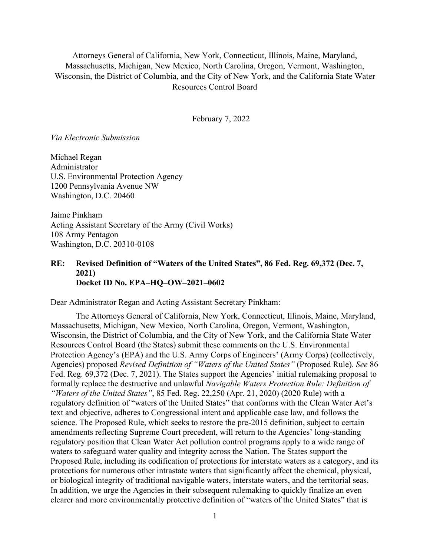Attorneys General of California, New York, Connecticut, Illinois, Maine, Maryland, Massachusetts, Michigan, New Mexico, North Carolina, Oregon, Vermont, Washington, Wisconsin, the District of Columbia, and the City of New York, and the California State Water Resources Control Board

February 7, 2022

*Via Electronic Submission* 

Michael Regan Administrator U.S. Environmental Protection Agency 1200 Pennsylvania Avenue NW Washington, D.C. 20460

Jaime Pinkham Acting Assistant Secretary of the Army (Civil Works) 108 Army Pentagon Washington, D.C. 20310-0108

## **RE: Revised Definition of "Waters of the United States", 86 Fed. Reg. 69,372 (Dec. 7, 2021) Docket ID No. EPA–HQ–OW–2021–0602**

Dear Administrator Regan and Acting Assistant Secretary Pinkham:

The Attorneys General of California, New York, Connecticut, Illinois, Maine, Maryland, Massachusetts, Michigan, New Mexico, North Carolina, Oregon, Vermont, Washington, Wisconsin, the District of Columbia, and the City of New York, and the California State Water Resources Control Board (the States) submit these comments on the U.S. Environmental Protection Agency's (EPA) and the U.S. Army Corps of Engineers' (Army Corps) (collectively, Agencies) proposed *Revised Definition of "Waters of the United States"* (Proposed Rule). *See* 86 Fed. Reg. 69,372 (Dec. 7, 2021). The States support the Agencies' initial rulemaking proposal to formally replace the destructive and unlawful *Navigable Waters Protection Rule: Definition of "Waters of the United States"*, 85 Fed. Reg. 22,250 (Apr. 21, 2020) (2020 Rule) with a regulatory definition of "waters of the United States" that conforms with the Clean Water Act's text and objective, adheres to Congressional intent and applicable case law, and follows the science. The Proposed Rule, which seeks to restore the pre-2015 definition, subject to certain amendments reflecting Supreme Court precedent, will return to the Agencies' long-standing regulatory position that Clean Water Act pollution control programs apply to a wide range of waters to safeguard water quality and integrity across the Nation. The States support the Proposed Rule, including its codification of protections for interstate waters as a category, and its protections for numerous other intrastate waters that significantly affect the chemical, physical, or biological integrity of traditional navigable waters, interstate waters, and the territorial seas. In addition, we urge the Agencies in their subsequent rulemaking to quickly finalize an even clearer and more environmentally protective definition of "waters of the United States" that is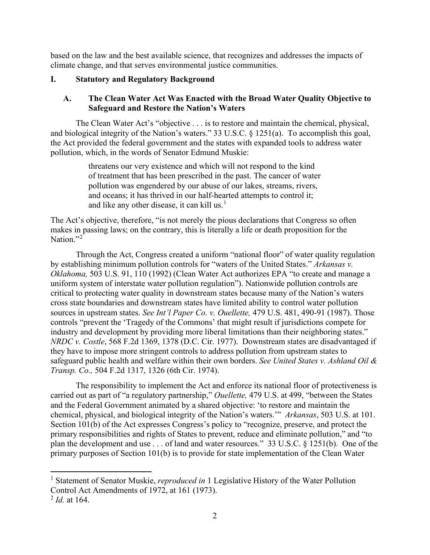based on the law and the best available science, that recognizes and addresses the impacts of climate change, and that serves environmental justice communities.

# **I. Statutory and Regulatory Background**

# **A. The Clean Water Act Was Enacted with the Broad Water Quality Objective to Safeguard and Restore the Nation's Waters**

The Clean Water Act's "objective . . . is to restore and maintain the chemical, physical, and biological integrity of the Nation's waters." 33 U.S.C. § 1251(a). To accomplish this goal, the Act provided the federal government and the states with expanded tools to address water pollution, which, in the words of Senator Edmund Muskie:

> threatens our very existence and which will not respond to the kind of treatment that has been prescribed in the past. The cancer of water pollution was engendered by our abuse of our lakes, streams, rivers, and oceans; it has thrived in our half-hearted attempts to control it; and like any other disease, it can kill us. $<sup>1</sup>$  $<sup>1</sup>$  $<sup>1</sup>$ </sup>

The Act's objective, therefore, "is not merely the pious declarations that Congress so often makes in passing laws; on the contrary, this is literally a life or death proposition for the Nation."<sup>[2](#page-1-1)</sup>

Through the Act, Congress created a uniform "national floor" of water quality regulation by establishing minimum pollution controls for "waters of the United States." *Arkansas v. Oklahoma,* 503 U.S. 91, 110 (1992) (Clean Water Act authorizes EPA "to create and manage a uniform system of interstate water pollution regulation"). Nationwide pollution controls are critical to protecting water quality in downstream states because many of the Nation's waters cross state boundaries and downstream states have limited ability to control water pollution sources in upstream states. *See Int'l Paper Co. v. Ouellette,* 479 U.S. 481, 490-91 (1987). Those controls "prevent the 'Tragedy of the Commons' that might result if jurisdictions compete for industry and development by providing more liberal limitations than their neighboring states." *NRDC v. Costle*, 568 F.2d 1369, 1378 (D.C. Cir. 1977). Downstream states are disadvantaged if they have to impose more stringent controls to address pollution from upstream states to safeguard public health and welfare within their own borders. *See United States v. Ashland Oil & Transp. Co.,* 504 F.2d 1317, 1326 (6th Cir. 1974).

The responsibility to implement the Act and enforce its national floor of protectiveness is carried out as part of "a regulatory partnership," *Ouellette,* 479 U.S. at 499, "between the States and the Federal Government animated by a shared objective: 'to restore and maintain the chemical, physical, and biological integrity of the Nation's waters.'" *Arkansas*, 503 U.S. at 101. Section 101(b) of the Act expresses Congress's policy to "recognize, preserve, and protect the primary responsibilities and rights of States to prevent, reduce and eliminate pollution," and "to plan the development and use . . . of land and water resources." 33 U.S.C. § 1251(b). One of the primary purposes of Section 101(b) is to provide for state implementation of the Clean Water

<span id="page-1-0"></span><sup>&</sup>lt;sup>1</sup> Statement of Senator Muskie, *reproduced in* 1 Legislative History of the Water Pollution Control Act Amendments of 1972, at 161 (1973).

<span id="page-1-1"></span><sup>2</sup> *Id.* at 164.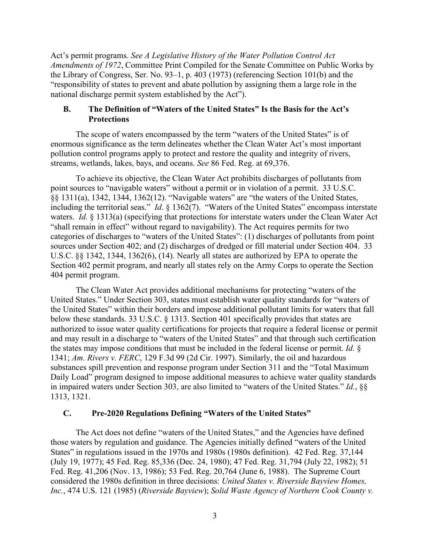Act's permit programs. *See A Legislative History of the Water Pollution Control Act Amendments of 1972*, Committee Print Compiled for the Senate Committee on Public Works by the Library of Congress, Ser. No. 93–1, p. 403 (1973) (referencing Section 101(b) and the "responsibility of states to prevent and abate pollution by assigning them a large role in the national discharge permit system established by the Act").

# **B. The Definition of "Waters of the United States" Is the Basis for the Act's Protections**

The scope of waters encompassed by the term "waters of the United States" is of enormous significance as the term delineates whether the Clean Water Act's most important pollution control programs apply to protect and restore the quality and integrity of rivers, streams, wetlands, lakes, bays, and oceans. *See* 86 Fed. Reg. at 69,376.

To achieve its objective, the Clean Water Act prohibits discharges of pollutants from point sources to "navigable waters" without a permit or in violation of a permit. 33 U.S.C. §§ 1311(a), 1342, 1344, 1362(12). "Navigable waters" are "the waters of the United States, including the territorial seas." *Id*. § 1362(7). "Waters of the United States" encompass interstate waters. *Id.* § 1313(a) (specifying that protections for interstate waters under the Clean Water Act "shall remain in effect" without regard to navigability). The Act requires permits for two categories of discharges to "waters of the United States": (1) discharges of pollutants from point sources under Section 402; and (2) discharges of dredged or fill material under Section 404. 33 U.S.C. §§ 1342, 1344, 1362(6), (14). Nearly all states are authorized by EPA to operate the Section 402 permit program, and nearly all states rely on the Army Corps to operate the Section 404 permit program.

The Clean Water Act provides additional mechanisms for protecting "waters of the United States." Under Section 303, states must establish water quality standards for "waters of the United States" within their borders and impose additional pollutant limits for waters that fall below these standards. 33 U.S.C. § 1313. Section 401 specifically provides that states are authorized to issue water quality certifications for projects that require a federal license or permit and may result in a discharge to "waters of the United States" and that through such certification the states may impose conditions that must be included in the federal license or permit. *Id.* § 1341; *Am. Rivers v. FERC*, 129 F.3d 99 (2d Cir. 1997). Similarly, the oil and hazardous substances spill prevention and response program under Section 311 and the "Total Maximum Daily Load" program designed to impose additional measures to achieve water quality standards in impaired waters under Section 303, are also limited to "waters of the United States." *Id.*, §§ 1313, 1321.

### **C. Pre-2020 Regulations Defining "Waters of the United States"**

The Act does not define "waters of the United States," and the Agencies have defined those waters by regulation and guidance. The Agencies initially defined "waters of the United States" in regulations issued in the 1970s and 1980s (1980s definition). 42 Fed. Reg. 37,144 (July 19, 1977); 45 Fed. Reg. 85,336 (Dec. 24, 1980); 47 Fed. Reg. 31,794 (July 22, 1982); 51 Fed. Reg. 41,206 (Nov. 13, 1986); 53 Fed. Reg. 20,764 (June 6, 1988). The Supreme Court considered the 1980s definition in three decisions: *United States v. Riverside Bayview Homes, Inc.*, 474 U.S. 121 (1985) (*Riverside Bayview*); *Solid Waste Agency of Northern Cook County v.*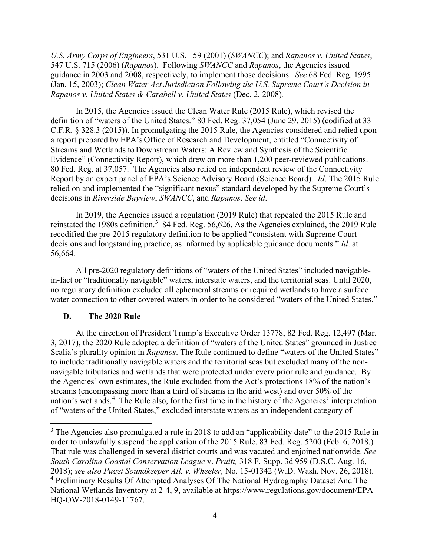*U.S. Army Corps of Engineers*, 531 U.S. 159 (2001) (*SWANCC*); and *Rapanos v. United States*, 547 U.S. 715 (2006) (*Rapanos*). Following *SWANCC* and *Rapanos*, the Agencies issued guidance in 2003 and 2008, respectively, to implement those decisions. *See* 68 Fed. Reg. 1995 (Jan. 15, 2003); *Clean Water Act Jurisdiction Following the U.S. Supreme Court's Decision in Rapanos v. United States & Carabell v. United States* (Dec. 2, 2008).

In 2015, the Agencies issued the Clean Water Rule (2015 Rule), which revised the definition of "waters of the United States." 80 Fed. Reg. 37,054 (June 29, 2015) (codified at 33 C.F.R. § 328.3 (2015)). In promulgating the 2015 Rule, the Agencies considered and relied upon a report prepared by EPA's Office of Research and Development, entitled "Connectivity of Streams and Wetlands to Downstream Waters: A Review and Synthesis of the Scientific Evidence" (Connectivity Report), which drew on more than 1,200 peer-reviewed publications. 80 Fed. Reg. at 37,057. The Agencies also relied on independent review of the Connectivity Report by an expert panel of EPA's Science Advisory Board (Science Board). *Id*. The 2015 Rule relied on and implemented the "significant nexus" standard developed by the Supreme Court's decisions in *Riverside Bayview*, *SWANCC*, and *Rapanos*. *See id*.

In 2019, the Agencies issued a regulation (2019 Rule) that repealed the 2015 Rule and reinstated the 1980s definition.<sup>[3](#page-3-0)</sup> 84 Fed. Reg. 56,626. As the Agencies explained, the 2019 Rule recodified the pre-2015 regulatory definition to be applied "consistent with Supreme Court decisions and longstanding practice, as informed by applicable guidance documents." *Id*. at 56,664.

All pre-2020 regulatory definitions of "waters of the United States" included navigablein-fact or "traditionally navigable" waters, interstate waters, and the territorial seas. Until 2020, no regulatory definition excluded all ephemeral streams or required wetlands to have a surface water connection to other covered waters in order to be considered "waters of the United States."

### **D. The 2020 Rule**

At the direction of President Trump's Executive Order 13778, 82 Fed. Reg. 12,497 (Mar. 3, 2017), the 2020 Rule adopted a definition of "waters of the United States" grounded in Justice Scalia's plurality opinion in *Rapanos*. The Rule continued to define "waters of the United States" to include traditionally navigable waters and the territorial seas but excluded many of the nonnavigable tributaries and wetlands that were protected under every prior rule and guidance. By the Agencies' own estimates, the Rule excluded from the Act's protections 18% of the nation's streams (encompassing more than a third of streams in the arid west) and over 50% of the nation's wetlands.<sup>[4](#page-3-1)</sup> The Rule also, for the first time in the history of the Agencies' interpretation of "waters of the United States," excluded interstate waters as an independent category of

<span id="page-3-1"></span><span id="page-3-0"></span><sup>&</sup>lt;sup>3</sup> The Agencies also promulgated a rule in 2018 to add an "applicability date" to the 2015 Rule in order to unlawfully suspend the application of the 2015 Rule. 83 Fed. Reg. 5200 (Feb. 6, 2018.) That rule was challenged in several district courts and was vacated and enjoined nationwide. *See South Carolina Coastal Conservation League* v. *Pruitt,* 318 F. Supp. 3d 959 (D.S.C. Aug. 16, 2018); *see also Puget Soundkeeper All. v. Wheeler,* No. 15-01342 (W.D. Wash. Nov. 26, 2018). 4 Preliminary Results Of Attempted Analyses Of The National Hydrography Dataset And The National Wetlands Inventory at 2-4, 9, available at https://www.regulations.gov/document/EPA-HQ-OW-2018-0149-11767.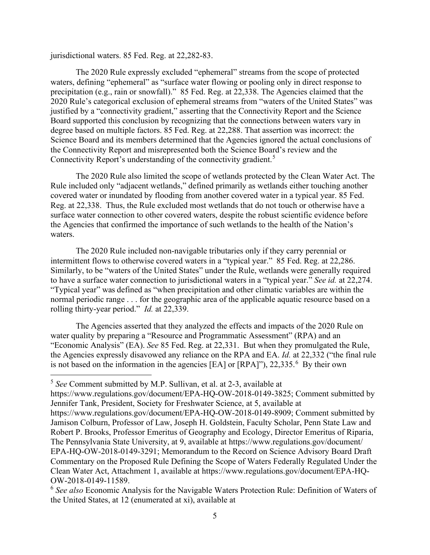jurisdictional waters. 85 Fed. Reg. at 22,282-83.

The 2020 Rule expressly excluded "ephemeral" streams from the scope of protected waters, defining "ephemeral" as "surface water flowing or pooling only in direct response to precipitation (e.g., rain or snowfall)." 85 Fed. Reg. at 22,338. The Agencies claimed that the 2020 Rule's categorical exclusion of ephemeral streams from "waters of the United States" was justified by a "connectivity gradient," asserting that the Connectivity Report and the Science Board supported this conclusion by recognizing that the connections between waters vary in degree based on multiple factors. 85 Fed. Reg. at 22,288. That assertion was incorrect: the Science Board and its members determined that the Agencies ignored the actual conclusions of the Connectivity Report and misrepresented both the Science Board's review and the Connectivity Report's understanding of the connectivity gradient.<sup>[5](#page-4-0)</sup>

The 2020 Rule also limited the scope of wetlands protected by the Clean Water Act. The Rule included only "adjacent wetlands," defined primarily as wetlands either touching another covered water or inundated by flooding from another covered water in a typical year. 85 Fed. Reg. at 22,338. Thus, the Rule excluded most wetlands that do not touch or otherwise have a surface water connection to other covered waters, despite the robust scientific evidence before the Agencies that confirmed the importance of such wetlands to the health of the Nation's waters.

The 2020 Rule included non-navigable tributaries only if they carry perennial or intermittent flows to otherwise covered waters in a "typical year." 85 Fed. Reg. at 22,286. Similarly, to be "waters of the United States" under the Rule, wetlands were generally required to have a surface water connection to jurisdictional waters in a "typical year." *See id.* at 22,274. "Typical year" was defined as "when precipitation and other climatic variables are within the normal periodic range . . . for the geographic area of the applicable aquatic resource based on a rolling thirty-year period." *Id.* at 22,339.

The Agencies asserted that they analyzed the effects and impacts of the 2020 Rule on water quality by preparing a "Resource and Programmatic Assessment" (RPA) and an "Economic Analysis" (EA). *See* 85 Fed. Reg. at 22,331. But when they promulgated the Rule, the Agencies expressly disavowed any reliance on the RPA and EA. *Id.* at 22,332 ("the final rule is not based on the information in the agencies [EA] or [RPA]"), 22,335. [6](#page-4-1) By their own

<span id="page-4-0"></span><sup>5</sup> *See* Comment submitted by M.P. Sullivan, et al. at 2-3, available at

https://www.regulations.gov/document/EPA-HQ-OW-2018-0149-3825; Comment submitted by Jennifer Tank, President, Society for Freshwater Science, at 5, available at https://www.regulations.gov/document/EPA-HQ-OW-2018-0149-8909; Comment submitted by Jamison Colburn, Professor of Law, Joseph H. Goldstein, Faculty Scholar, Penn State Law and Robert P. Brooks, Professor Emeritus of Geography and Ecology, Director Emeritus of Riparia, The Pennsylvania State University, at 9, available at https://www.regulations.gov/document/ EPA-HQ-OW-2018-0149-3291; Memorandum to the Record on Science Advisory Board Draft Commentary on the Proposed Rule Defining the Scope of Waters Federally Regulated Under the Clean Water Act, Attachment 1, available at https://www.regulations.gov/document/EPA-HQ-OW-2018-0149-11589.

<span id="page-4-1"></span><sup>6</sup> *See also* Economic Analysis for the Navigable Waters Protection Rule: Definition of Waters of the United States, at 12 (enumerated at xi), available at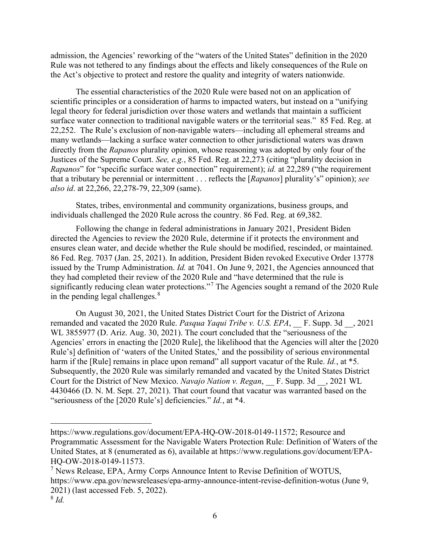admission, the Agencies' reworking of the "waters of the United States" definition in the 2020 Rule was not tethered to any findings about the effects and likely consequences of the Rule on the Act's objective to protect and restore the quality and integrity of waters nationwide.

The essential characteristics of the 2020 Rule were based not on an application of scientific principles or a consideration of harms to impacted waters, but instead on a "unifying legal theory for federal jurisdiction over those waters and wetlands that maintain a sufficient surface water connection to traditional navigable waters or the territorial seas." 85 Fed. Reg. at 22,252. The Rule's exclusion of non-navigable waters—including all ephemeral streams and many wetlands—lacking a surface water connection to other jurisdictional waters was drawn directly from the *Rapanos* plurality opinion, whose reasoning was adopted by only four of the Justices of the Supreme Court. *See, e.g.*, 85 Fed. Reg. at 22,273 (citing "plurality decision in *Rapanos*" for "specific surface water connection" requirement); *id.* at 22,289 ("the requirement that a tributary be perennial or intermittent . . . reflects the [*Rapanos*] plurality's" opinion); *see also id*. at 22,266, 22,278-79, 22,309 (same).

States, tribes, environmental and community organizations, business groups, and individuals challenged the 2020 Rule across the country. 86 Fed. Reg. at 69,382.

Following the change in federal administrations in January 2021, President Biden directed the Agencies to review the 2020 Rule, determine if it protects the environment and ensures clean water, and decide whether the Rule should be modified, rescinded, or maintained. 86 Fed. Reg. 7037 (Jan. 25, 2021). In addition, President Biden revoked Executive Order 13778 issued by the Trump Administration. *Id.* at 7041. On June 9, 2021, the Agencies announced that they had completed their review of the 2020 Rule and "have determined that the rule is significantly reducing clean water protections."<sup>[7](#page-5-0)</sup> The Agencies sought a remand of the 2020 Rule in the pending legal challenges. $8<sup>8</sup>$  $8<sup>8</sup>$ 

On August 30, 2021, the United States District Court for the District of Arizona remanded and vacated the 2020 Rule. *Pasqua Yaqui Tribe v. U.S. EPA*, F. Supp. 3d , 2021 WL 3855977 (D. Ariz. Aug. 30, 2021). The court concluded that the "seriousness of the Agencies' errors in enacting the [2020 Rule], the likelihood that the Agencies will alter the [2020 Rule's] definition of 'waters of the United States,' and the possibility of serious environmental harm if the [Rule] remains in place upon remand" all support vacatur of the Rule. *Id.*, at \*5. Subsequently, the 2020 Rule was similarly remanded and vacated by the United States District Court for the District of New Mexico. *Navajo Nation v. Regan*, \_\_ F. Supp. 3d \_\_, 2021 WL 4430466 (D. N. M. Sept. 27, 2021). That court found that vacatur was warranted based on the "seriousness of the [2020 Rule's] deficiencies." *Id.*, at \*4.

https://www.regulations.gov/document/EPA-HQ-OW-2018-0149-11572; Resource and Programmatic Assessment for the Navigable Waters Protection Rule: Definition of Waters of the United States, at 8 (enumerated as 6), available at https://www.regulations.gov/document/EPA-HQ-OW-2018-0149-11573.

<span id="page-5-0"></span> $<sup>7</sup>$  News Release, EPA, Army Corps Announce Intent to Revise Definition of WOTUS,</sup> https://www.epa.gov/newsreleases/epa-army-announce-intent-revise-definition-wotus (June 9, 2021) (last accessed Feb. 5, 2022).

<span id="page-5-1"></span><sup>8</sup> *Id.*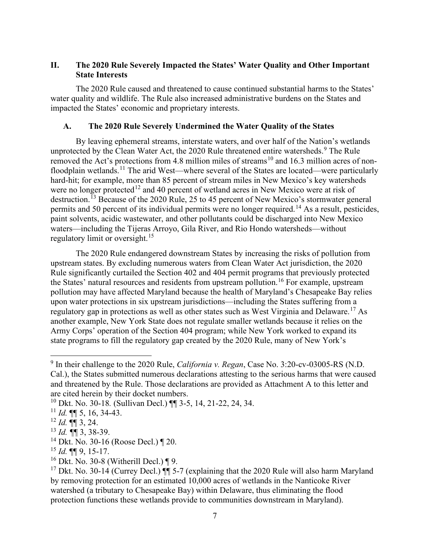# **II. The 2020 Rule Severely Impacted the States' Water Quality and Other Important State Interests**

The 2020 Rule caused and threatened to cause continued substantial harms to the States' water quality and wildlife. The Rule also increased administrative burdens on the States and impacted the States' economic and proprietary interests.

# **A. The 2020 Rule Severely Undermined the Water Quality of the States**

By leaving ephemeral streams, interstate waters, and over half of the Nation's wetlands unprotected by the Clean Water Act, the 2020 Rule threatened entire watersheds.<sup>[9](#page-6-0)</sup> The Rule removed the Act's protections from 4.8 million miles of streams<sup>[10](#page-6-1)</sup> and 16.3 million acres of non-floodplain wetlands.<sup>[11](#page-6-2)</sup> The arid West—where several of the States are located—were particularly hard-hit; for example, more than 85 percent of stream miles in New Mexico's key watersheds were no longer protected<sup>[12](#page-6-3)</sup> and 40 percent of wetland acres in New Mexico were at risk of destruction.<sup>[13](#page-6-4)</sup> Because of the 2020 Rule, 25 to 45 percent of New Mexico's stormwater general permits and 50 percent of its individual permits were no longer required.<sup>[14](#page-6-5)</sup> As a result, pesticides, paint solvents, acidic wastewater, and other pollutants could be discharged into New Mexico waters—including the Tijeras Arroyo, Gila River, and Rio Hondo watersheds—without regulatory limit or oversight.<sup>[15](#page-6-6)</sup>

The 2020 Rule endangered downstream States by increasing the risks of pollution from upstream states. By excluding numerous waters from Clean Water Act jurisdiction, the 2020 Rule significantly curtailed the Section 402 and 404 permit programs that previously protected the States' natural resources and residents from upstream pollution.<sup>[16](#page-6-7)</sup> For example, upstream pollution may have affected Maryland because the health of Maryland's Chesapeake Bay relies upon water protections in six upstream jurisdictions—including the States suffering from a regulatory gap in protections as well as other states such as West Virginia and Delaware.<sup>[17](#page-6-8)</sup> As another example, New York State does not regulate smaller wetlands because it relies on the Army Corps' operation of the Section 404 program; while New York worked to expand its state programs to fill the regulatory gap created by the 2020 Rule, many of New York's

<span id="page-6-0"></span><sup>9</sup> In their challenge to the 2020 Rule, *California v. Regan*, Case No. 3:20-cv-03005-RS (N.D. Cal.), the States submitted numerous declarations attesting to the serious harms that were caused and threatened by the Rule. Those declarations are provided as Attachment A to this letter and are cited herein by their docket numbers.

<span id="page-6-1"></span><sup>10</sup> Dkt. No. 30-18*.* (Sullivan Decl.) ¶¶ 3-5, 14, 21-22, 24, 34.

<span id="page-6-2"></span><sup>11</sup> *Id.* ¶¶ 5, 16, 34-43.

<span id="page-6-3"></span> $12$  *Id.*  $\P\P$  3, 24.

<span id="page-6-4"></span><sup>13</sup> *Id. ¶*¶ 3, 38-39.

<span id="page-6-5"></span><sup>14</sup> Dkt. No. 30-16 (Roose Decl.) ¶ 20.

<span id="page-6-6"></span><sup>15</sup> *Id.* ¶¶ 9, 15-17.

<span id="page-6-7"></span><sup>16</sup> Dkt. No. 30-8 (Witherill Decl.) ¶ 9.

<span id="page-6-8"></span><sup>&</sup>lt;sup>17</sup> Dkt. No. 30-14 (Currey Decl.)  $\P$  5-7 (explaining that the 2020 Rule will also harm Maryland by removing protection for an estimated 10,000 acres of wetlands in the Nanticoke River watershed (a tributary to Chesapeake Bay) within Delaware, thus eliminating the flood protection functions these wetlands provide to communities downstream in Maryland).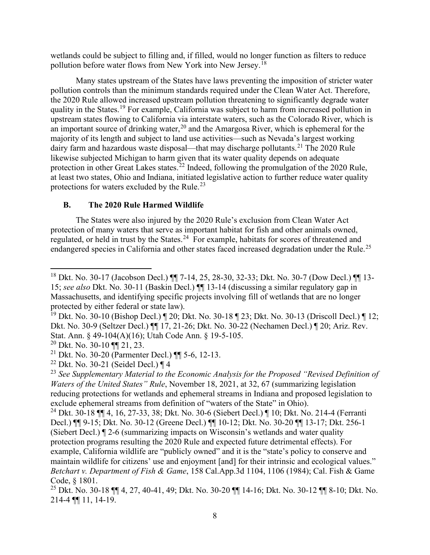wetlands could be subject to filling and, if filled, would no longer function as filters to reduce pollution before water flows from New York into New Jersey.<sup>[18](#page-7-0)</sup>

Many states upstream of the States have laws preventing the imposition of stricter water pollution controls than the minimum standards required under the Clean Water Act. Therefore, the 2020 Rule allowed increased upstream pollution threatening to significantly degrade water quality in the States.[19](#page-7-1) For example, California was subject to harm from increased pollution in upstream states flowing to California via interstate waters, such as the Colorado River, which is an important source of drinking water,  $20$  and the Amargosa River, which is ephemeral for the majority of its length and subject to land use activities—such as Nevada's largest working dairy farm and hazardous waste disposal—that may discharge pollutants.<sup>[21](#page-7-3)</sup> The 2020 Rule likewise subjected Michigan to harm given that its water quality depends on adequate protection in other Great Lakes states.<sup>[22](#page-7-4)</sup> Indeed, following the promulgation of the 2020 Rule, at least two states, Ohio and Indiana, initiated legislative action to further reduce water quality protections for waters excluded by the Rule. $^{23}$  $^{23}$  $^{23}$ 

# **B. The 2020 Rule Harmed Wildlife**

The States were also injured by the 2020 Rule's exclusion from Clean Water Act protection of many waters that serve as important habitat for fish and other animals owned, regulated, or held in trust by the States.<sup>24</sup> For example, habitats for scores of threatened and endangered species in California and other states faced increased degradation under the Rule.<sup>[25](#page-7-7)</sup>

<span id="page-7-0"></span><sup>18</sup> Dkt. No. 30-17 (Jacobson Decl.) ¶¶ 7-14, 25, 28-30, 32-33; Dkt. No. 30-7 (Dow Decl.) ¶¶ 13- 15; *see also* Dkt. No. 30-11 (Baskin Decl.) ¶¶ 13-14 (discussing a similar regulatory gap in Massachusetts, and identifying specific projects involving fill of wetlands that are no longer protected by either federal or state law).

<span id="page-7-1"></span><sup>&</sup>lt;sup>19</sup> Dkt. No. 30-10 (Bishop Decl.)  $\P$  20; Dkt. No. 30-18  $\P$  23; Dkt. No. 30-13 (Driscoll Decl.)  $\P$  12; Dkt. No. 30-9 (Seltzer Decl.) ¶¶ 17, 21-26; Dkt. No. 30-22 (Nechamen Decl.) ¶ 20; Ariz. Rev. Stat. Ann. § 49-104(A)(16); Utah Code Ann. § 19-5-105.<br><sup>20</sup> Dkt. No. 30-10 ¶¶ 21, 23.

<span id="page-7-2"></span>

<span id="page-7-3"></span><sup>&</sup>lt;sup>21</sup> Dkt. No. 30-20 (Parmenter Decl.)  $\P$  5-6, 12-13.

<span id="page-7-4"></span><sup>&</sup>lt;sup>22</sup> Dkt. No. 30-21 (Seidel Decl.)  $\P$  4

<span id="page-7-5"></span><sup>23</sup> *See Supplementary Material to the Economic Analysis for the Proposed "Revised Definition of Waters of the United States" Rule*, November 18, 2021, at 32, 67 (summarizing legislation reducing protections for wetlands and ephemeral streams in Indiana and proposed legislation to exclude ephemeral streams from definition of "waters of the State" in Ohio).

<span id="page-7-6"></span><sup>24</sup> Dkt. 30-18 ¶¶ 4, 16, 27-33, 38; Dkt. No. 30-6 (Siebert Decl.) ¶ 10; Dkt. No. 214-4 (Ferranti Decl.) ¶¶ 9-15; Dkt. No. 30-12 (Greene Decl.) ¶¶ 10-12; Dkt. No. 30-20 ¶¶ 13-17; Dkt. 256-1 (Siebert Decl.) ¶ 2-6 (summarizing impacts on Wisconsin's wetlands and water quality protection programs resulting the 2020 Rule and expected future detrimental effects). For example, California wildlife are "publicly owned" and it is the "state's policy to conserve and maintain wildlife for citizens' use and enjoyment [and] for their intrinsic and ecological values." *Betchart v. Department of Fish & Game*, 158 Cal.App.3d 1104, 1106 (1984); Cal. Fish & Game Code, § 1801.

<span id="page-7-7"></span><sup>25</sup> Dkt. No. 30-18 ¶¶ 4, 27, 40-41, 49; Dkt. No. 30-20 ¶¶ 14-16; Dkt. No. 30-12 ¶¶ 8-10; Dkt. No. 214-4 ¶¶ 11, 14-19.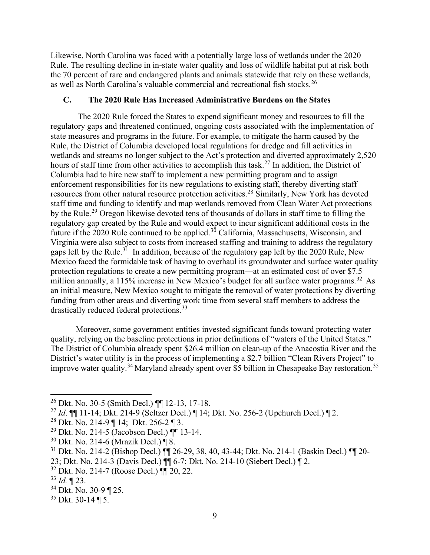Likewise, North Carolina was faced with a potentially large loss of wetlands under the 2020 Rule. The resulting decline in in-state water quality and loss of wildlife habitat put at risk both the 70 percent of rare and endangered plants and animals statewide that rely on these wetlands, as well as North Carolina's valuable commercial and recreational fish stocks. [26](#page-8-0)

# **C. The 2020 Rule Has Increased Administrative Burdens on the States**

The 2020 Rule forced the States to expend significant money and resources to fill the regulatory gaps and threatened continued, ongoing costs associated with the implementation of state measures and programs in the future. For example, to mitigate the harm caused by the Rule, the District of Columbia developed local regulations for dredge and fill activities in wetlands and streams no longer subject to the Act's protection and diverted approximately 2,520 hours of staff time from other activities to accomplish this task.<sup>[27](#page-8-1)</sup> In addition, the District of Columbia had to hire new staff to implement a new permitting program and to assign enforcement responsibilities for its new regulations to existing staff, thereby diverting staff resources from other natural resource protection activities.<sup>[28](#page-8-2)</sup> Similarly, New York has devoted staff time and funding to identify and map wetlands removed from Clean Water Act protections by the Rule.<sup>[29](#page-8-3)</sup> Oregon likewise devoted tens of thousands of dollars in staff time to filling the regulatory gap created by the Rule and would expect to incur significant additional costs in the future if the 2020 Rule continued to be applied.<sup>[30](#page-8-4)</sup> California, Massachusetts, Wisconsin, and Virginia were also subject to costs from increased staffing and training to address the regulatory gaps left by the Rule.<sup>[31](#page-8-5)</sup> In addition, because of the regulatory gap left by the 2020 Rule, New Mexico faced the formidable task of having to overhaul its groundwater and surface water quality protection regulations to create a new permitting program—at an estimated cost of over \$7.5 million annually, a 115% increase in New Mexico's budget for all surface water programs.<sup>[32](#page-8-6)</sup> As an initial measure, New Mexico sought to mitigate the removal of water protections by diverting funding from other areas and diverting work time from several staff members to address the drastically reduced federal protections.<sup>[33](#page-8-7)</sup>

Moreover, some government entities invested significant funds toward protecting water quality, relying on the baseline protections in prior definitions of "waters of the United States." The District of Columbia already spent \$26.4 million on clean-up of the Anacostia River and the District's water utility is in the process of implementing a \$2.7 billion "Clean Rivers Project" to improve water quality.<sup>[34](#page-8-8)</sup> Maryland already spent over \$5 billion in Chesapeake Bay restoration.<sup>[35](#page-8-9)</sup>

<span id="page-8-6"></span><sup>32</sup> Dkt. No. 214-7 (Roose Decl.) ¶¶ 20, 22.

<span id="page-8-0"></span><sup>26</sup> Dkt. No. 30-5 (Smith Decl.) ¶¶ 12-13, 17-18.

<span id="page-8-1"></span><sup>27</sup> *Id*. ¶¶ 11-14; Dkt. 214-9 (Seltzer Decl.) ¶ 14; Dkt. No. 256-2 (Upchurch Decl.) ¶ 2.

<span id="page-8-2"></span><sup>28</sup> Dkt. No. 214-9 ¶ 14; Dkt. 256-2 ¶ 3.

<span id="page-8-3"></span><sup>&</sup>lt;sup>29</sup> Dkt. No. 214-5 (Jacobson Decl.)  $\P\P$  13-14.

<span id="page-8-4"></span><sup>30</sup> Dkt. No. 214-6 (Mrazik Decl.) ¶ 8.

<span id="page-8-5"></span><sup>&</sup>lt;sup>31</sup> Dkt. No. 214-2 (Bishop Decl.)  $\mathbf{Q} = 29, 38, 40, 43-44$ ; Dkt. No. 214-1 (Baskin Decl.)  $\mathbf{Q} = 20$ -

<sup>23;</sup> Dkt. No. 214-3 (Davis Decl.) ¶¶ 6-7; Dkt. No. 214-10 (Siebert Decl.) ¶ 2.

<span id="page-8-7"></span><sup>33</sup> *Id.* ¶ 23.

<span id="page-8-8"></span><sup>34</sup> Dkt. No. 30-9 ¶ 25.

<span id="page-8-9"></span> $35$  Dkt. 30-14 ¶ 5.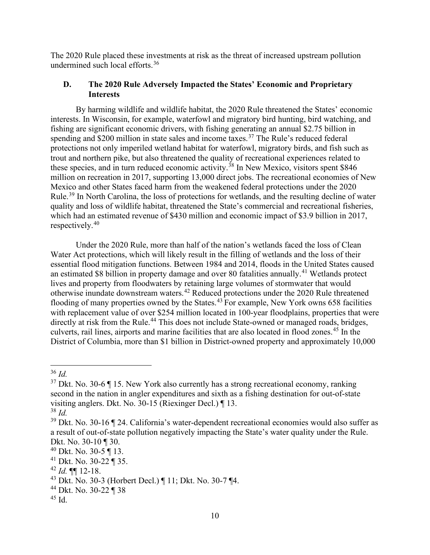The 2020 Rule placed these investments at risk as the threat of increased upstream pollution undermined such local efforts.[36](#page-9-0)

# **D. The 2020 Rule Adversely Impacted the States' Economic and Proprietary Interests**

By harming wildlife and wildlife habitat, the 2020 Rule threatened the States' economic interests. In Wisconsin, for example, waterfowl and migratory bird hunting, bird watching, and fishing are significant economic drivers, with fishing generating an annual \$2.75 billion in spending and  $$200$  million in state sales and income taxes.<sup>[37](#page-9-1)</sup> The Rule's reduced federal protections not only imperiled wetland habitat for waterfowl, migratory birds, and fish such as trout and northern pike, but also threatened the quality of recreational experiences related to these species, and in turn reduced economic activity.<sup>[38](#page-9-2)</sup> In New Mexico, visitors spent \$846 million on recreation in 2017, supporting 13,000 direct jobs. The recreational economies of New Mexico and other States faced harm from the weakened federal protections under the 2020 Rule.<sup>[39](#page-9-3)</sup> In North Carolina, the loss of protections for wetlands, and the resulting decline of water quality and loss of wildlife habitat, threatened the State's commercial and recreational fisheries, which had an estimated revenue of \$430 million and economic impact of \$3.9 billion in 2017, respectively.[40](#page-9-4)

Under the 2020 Rule, more than half of the nation's wetlands faced the loss of Clean Water Act protections, which will likely result in the filling of wetlands and the loss of their essential flood mitigation functions. Between 1984 and 2014, floods in the United States caused an estimated \$8 billion in property damage and over 80 fatalities annually.<sup>[41](#page-9-5)</sup> Wetlands protect lives and property from floodwaters by retaining large volumes of stormwater that would otherwise inundate downstream waters.[42](#page-9-6) Reduced protections under the 2020 Rule threatened flooding of many properties owned by the States.<sup>[43](#page-9-7)</sup> For example, New York owns 658 facilities with replacement value of over \$254 million located in 100-year floodplains, properties that were directly at risk from the Rule.<sup>[44](#page-9-8)</sup> This does not include State-owned or managed roads, bridges, culverts, rail lines, airports and marine facilities that are also located in flood zones.<sup>[45](#page-9-9)</sup> In the District of Columbia, more than \$1 billion in District-owned property and approximately 10,000

<span id="page-9-0"></span><sup>36</sup> *Id.*

<span id="page-9-1"></span> $37$  Dkt. No. 30-6  $\P$  15. New York also currently has a strong recreational economy, ranking second in the nation in angler expenditures and sixth as a fishing destination for out-of-state visiting anglers. Dkt. No. 30-15 (Riexinger Decl.) ¶ 13.

<span id="page-9-2"></span><sup>38</sup> *Id.*

<span id="page-9-3"></span> $39$  Dkt. No. 30-16 ¶ 24. California's water-dependent recreational economies would also suffer as a result of out-of-state pollution negatively impacting the State's water quality under the Rule. Dkt. No. 30-10 ¶ 30.

<span id="page-9-4"></span><sup>40</sup> Dkt. No. 30-5 ¶ 13.

<span id="page-9-5"></span><sup>41</sup> Dkt. No. 30-22 ¶ 35.

<span id="page-9-6"></span> $42$  *Id.* **¶** 12-18.

<span id="page-9-7"></span><sup>43</sup> Dkt. No. 30-3 (Horbert Decl.) ¶ 11; Dkt. No. 30-7 ¶4.

<span id="page-9-8"></span><sup>44</sup> Dkt. No. 30-22 ¶ 38

<span id="page-9-9"></span> $45$  Id.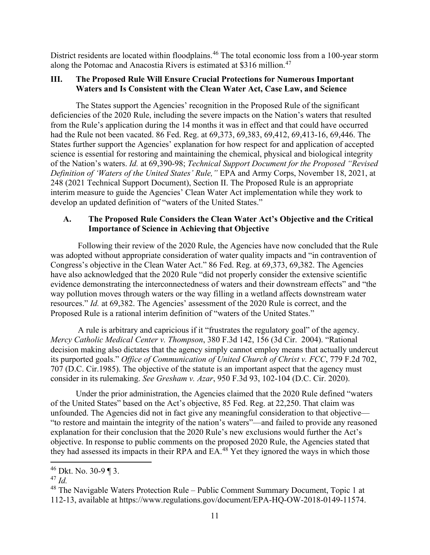District residents are located within floodplains.<sup>[46](#page-10-0)</sup> The total economic loss from a 100-year storm along the Potomac and Anacostia Rivers is estimated at \$316 million.<sup>[47](#page-10-1)</sup>

# **III. The Proposed Rule Will Ensure Crucial Protections for Numerous Important Waters and Is Consistent with the Clean Water Act, Case Law, and Science**

The States support the Agencies' recognition in the Proposed Rule of the significant deficiencies of the 2020 Rule, including the severe impacts on the Nation's waters that resulted from the Rule's application during the 14 months it was in effect and that could have occurred had the Rule not been vacated. 86 Fed. Reg. at 69,373, 69,383, 69,412, 69,413-16, 69,446. The States further support the Agencies' explanation for how respect for and application of accepted science is essential for restoring and maintaining the chemical, physical and biological integrity of the Nation's waters. *Id.* at 69,390-98; *Technical Support Document for the Proposed "Revised Definition of 'Waters of the United States' Rule,"* EPA and Army Corps, November 18, 2021, at 248 (2021 Technical Support Document), Section II. The Proposed Rule is an appropriate interim measure to guide the Agencies' Clean Water Act implementation while they work to develop an updated definition of "waters of the United States."

# **A. The Proposed Rule Considers the Clean Water Act's Objective and the Critical Importance of Science in Achieving that Objective**

Following their review of the 2020 Rule, the Agencies have now concluded that the Rule was adopted without appropriate consideration of water quality impacts and "in contravention of Congress's objective in the Clean Water Act." 86 Fed. Reg. at 69,373, 69,382. The Agencies have also acknowledged that the 2020 Rule "did not properly consider the extensive scientific evidence demonstrating the interconnectedness of waters and their downstream effects" and "the way pollution moves through waters or the way filling in a wetland affects downstream water resources." *Id.* at 69,382. The Agencies' assessment of the 2020 Rule is correct, and the Proposed Rule is a rational interim definition of "waters of the United States."

A rule is arbitrary and capricious if it "frustrates the regulatory goal" of the agency. *Mercy Catholic Medical Center v. Thompson*, 380 F.3d 142, 156 (3d Cir. 2004). "Rational decision making also dictates that the agency simply cannot employ means that actually undercut its purported goals." *Office of Communication of United Church of Christ v. FCC*, 779 F.2d 702, 707 (D.C. Cir.1985). The objective of the statute is an important aspect that the agency must consider in its rulemaking. *See Gresham v. Azar*, 950 F.3d 93, 102-104 (D.C. Cir. 2020).

Under the prior administration, the Agencies claimed that the 2020 Rule defined "waters of the United States" based on the Act's objective, 85 Fed. Reg. at 22,250. That claim was unfounded. The Agencies did not in fact give any meaningful consideration to that objective— "to restore and maintain the integrity of the nation's waters"—and failed to provide any reasoned explanation for their conclusion that the 2020 Rule's new exclusions would further the Act's objective. In response to public comments on the proposed 2020 Rule, the Agencies stated that they had assessed its impacts in their RPA and EA.<sup>[48](#page-10-2)</sup> Yet they ignored the ways in which those

<span id="page-10-0"></span><sup>46</sup> Dkt. No. 30-9 ¶ 3.

<span id="page-10-1"></span><sup>47</sup> *Id.*

<span id="page-10-2"></span><sup>48</sup> The Navigable Waters Protection Rule – Public Comment Summary Document, Topic 1 at 112-13, available at https://www.regulations.gov/document/EPA-HQ-OW-2018-0149-11574.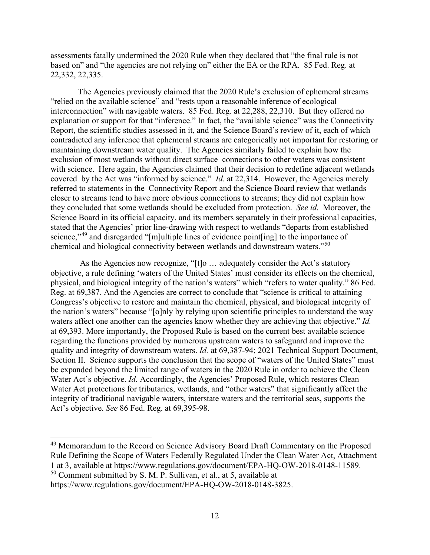assessments fatally undermined the 2020 Rule when they declared that "the final rule is not based on" and "the agencies are not relying on" either the EA or the RPA. 85 Fed. Reg. at 22,332, 22,335.

The Agencies previously claimed that the 2020 Rule's exclusion of ephemeral streams "relied on the available science" and "rests upon a reasonable inference of ecological interconnection" with navigable waters. 85 Fed. Reg. at 22,288, 22,310. But they offered no explanation or support for that "inference." In fact, the "available science" was the Connectivity Report, the scientific studies assessed in it, and the Science Board's review of it, each of which contradicted any inference that ephemeral streams are categorically not important for restoring or maintaining downstream water quality. The Agencies similarly failed to explain how the exclusion of most wetlands without direct surface connections to other waters was consistent with science. Here again, the Agencies claimed that their decision to redefine adjacent wetlands covered by the Act was "informed by science." *Id.* at 22,314. However, the Agencies merely referred to statements in the Connectivity Report and the Science Board review that wetlands closer to streams tend to have more obvious connections to streams; they did not explain how they concluded that some wetlands should be excluded from protection. *See id.* Moreover, the Science Board in its official capacity, and its members separately in their professional capacities, stated that the Agencies' prior line-drawing with respect to wetlands "departs from established science,"<sup>[49](#page-11-0)</sup> and disregarded "[m]ultiple lines of evidence point[ing] to the importance of chemical and biological connectivity between wetlands and downstream waters."[50](#page-11-1)

As the Agencies now recognize, "[t]o … adequately consider the Act's statutory objective, a rule defining 'waters of the United States' must consider its effects on the chemical, physical, and biological integrity of the nation's waters" which "refers to water quality." 86 Fed. Reg. at 69,387. And the Agencies are correct to conclude that "science is critical to attaining Congress's objective to restore and maintain the chemical, physical, and biological integrity of the nation's waters" because "[o]nly by relying upon scientific principles to understand the way waters affect one another can the agencies know whether they are achieving that objective." *Id.*  at 69,393. More importantly, the Proposed Rule is based on the current best available science regarding the functions provided by numerous upstream waters to safeguard and improve the quality and integrity of downstream waters. *Id.* at 69,387-94; 2021 Technical Support Document, Section II. Science supports the conclusion that the scope of "waters of the United States" must be expanded beyond the limited range of waters in the 2020 Rule in order to achieve the Clean Water Act's objective. *Id.* Accordingly, the Agencies' Proposed Rule, which restores Clean Water Act protections for tributaries, wetlands, and "other waters" that significantly affect the integrity of traditional navigable waters, interstate waters and the territorial seas, supports the Act's objective. *See* 86 Fed. Reg. at 69,395-98.

<span id="page-11-1"></span><sup>50</sup> Comment submitted by S. M. P. Sullivan, et al., at 5, available at

<span id="page-11-0"></span><sup>&</sup>lt;sup>49</sup> Memorandum to the Record on Science Advisory Board Draft Commentary on the Proposed Rule Defining the Scope of Waters Federally Regulated Under the Clean Water Act, Attachment 1 at 3, available at https://www.regulations.gov/document/EPA-HQ-OW-2018-0148-11589.

https://www.regulations.gov/document/EPA-HQ-OW-2018-0148-3825.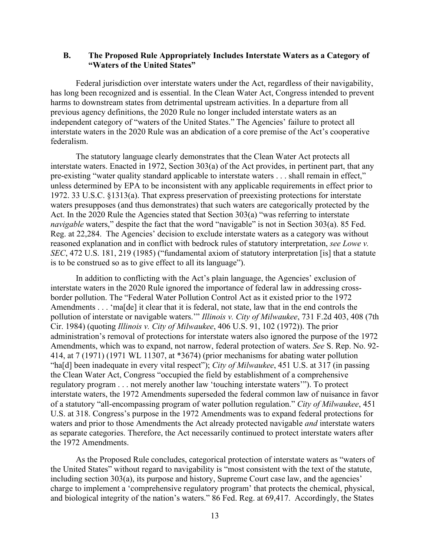### **B. The Proposed Rule Appropriately Includes Interstate Waters as a Category of "Waters of the United States"**

Federal jurisdiction over interstate waters under the Act, regardless of their navigability, has long been recognized and is essential. In the Clean Water Act, Congress intended to prevent harms to downstream states from detrimental upstream activities. In a departure from all previous agency definitions, the 2020 Rule no longer included interstate waters as an independent category of "waters of the United States." The Agencies' failure to protect all interstate waters in the 2020 Rule was an abdication of a core premise of the Act's cooperative federalism.

The statutory language clearly demonstrates that the Clean Water Act protects all interstate waters. Enacted in 1972, Section 303(a) of the Act provides, in pertinent part, that any pre-existing "water quality standard applicable to interstate waters . . . shall remain in effect," unless determined by EPA to be inconsistent with any applicable requirements in effect prior to 1972. 33 U.S.C. §1313(a). That express preservation of preexisting protections for interstate waters presupposes (and thus demonstrates) that such waters are categorically protected by the Act. In the 2020 Rule the Agencies stated that Section 303(a) "was referring to interstate *navigable* waters," despite the fact that the word "navigable" is not in Section 303(a). 85 Fed. Reg. at 22,284. The Agencies' decision to exclude interstate waters as a category was without reasoned explanation and in conflict with bedrock rules of statutory interpretation, *see Lowe v. SEC*, 472 U.S. 181, 219 (1985) ("fundamental axiom of statutory interpretation [is] that a statute is to be construed so as to give effect to all its language").

In addition to conflicting with the Act's plain language, the Agencies' exclusion of interstate waters in the 2020 Rule ignored the importance of federal law in addressing crossborder pollution. The "Federal Water Pollution Control Act as it existed prior to the 1972 Amendments . . . 'ma[de] it clear that it is federal, not state, law that in the end controls the pollution of interstate or navigable waters.'" *Illinois v. City of Milwaukee*, 731 F.2d 403, 408 (7th Cir. 1984) (quoting *Illinois v. City of Milwaukee*, 406 U.S. 91, 102 (1972)). The prior administration's removal of protections for interstate waters also ignored the purpose of the 1972 Amendments, which was to expand, not narrow, federal protection of waters. *See* S. Rep. No. 92- 414, at 7 (1971) (1971 WL 11307, at \*3674) (prior mechanisms for abating water pollution "ha[d] been inadequate in every vital respect"); *City of Milwaukee*, 451 U.S. at 317 (in passing the Clean Water Act, Congress "occupied the field by establishment of a comprehensive regulatory program . . . not merely another law 'touching interstate waters'"). To protect interstate waters, the 1972 Amendments superseded the federal common law of nuisance in favor of a statutory "all-encompassing program of water pollution regulation." *City of Milwaukee*, 451 U.S. at 318. Congress's purpose in the 1972 Amendments was to expand federal protections for waters and prior to those Amendments the Act already protected navigable *and* interstate waters as separate categories. Therefore, the Act necessarily continued to protect interstate waters after the 1972 Amendments.

As the Proposed Rule concludes, categorical protection of interstate waters as "waters of the United States" without regard to navigability is "most consistent with the text of the statute, including section 303(a), its purpose and history, Supreme Court case law, and the agencies' charge to implement a 'comprehensive regulatory program' that protects the chemical, physical, and biological integrity of the nation's waters." 86 Fed. Reg. at 69,417. Accordingly, the States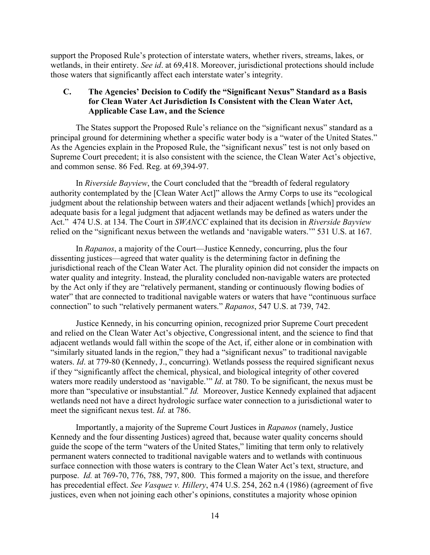support the Proposed Rule's protection of interstate waters, whether rivers, streams, lakes, or wetlands, in their entirety. *See id*. at 69,418. Moreover, jurisdictional protections should include those waters that significantly affect each interstate water's integrity.

# **C. The Agencies' Decision to Codify the "Significant Nexus" Standard as a Basis for Clean Water Act Jurisdiction Is Consistent with the Clean Water Act, Applicable Case Law, and the Science**

The States support the Proposed Rule's reliance on the "significant nexus" standard as a principal ground for determining whether a specific water body is a "water of the United States." As the Agencies explain in the Proposed Rule, the "significant nexus" test is not only based on Supreme Court precedent; it is also consistent with the science, the Clean Water Act's objective, and common sense. 86 Fed. Reg. at 69,394-97.

In *Riverside Bayview*, the Court concluded that the "breadth of federal regulatory authority contemplated by the [Clean Water Act]" allows the Army Corps to use its "ecological judgment about the relationship between waters and their adjacent wetlands [which] provides an adequate basis for a legal judgment that adjacent wetlands may be defined as waters under the Act." 474 U.S. at 134. The Court in *SWANCC* explained that its decision in *Riverside Bayview*  relied on the "significant nexus between the wetlands and 'navigable waters.'" 531 U.S. at 167.

In *Rapanos*, a majority of the Court—Justice Kennedy, concurring, plus the four dissenting justices—agreed that water quality is the determining factor in defining the jurisdictional reach of the Clean Water Act. The plurality opinion did not consider the impacts on water quality and integrity. Instead, the plurality concluded non-navigable waters are protected by the Act only if they are "relatively permanent, standing or continuously flowing bodies of water" that are connected to traditional navigable waters or waters that have "continuous surface" connection" to such "relatively permanent waters." *Rapanos*, 547 U.S. at 739, 742.

Justice Kennedy, in his concurring opinion, recognized prior Supreme Court precedent and relied on the Clean Water Act's objective, Congressional intent, and the science to find that adjacent wetlands would fall within the scope of the Act, if, either alone or in combination with "similarly situated lands in the region," they had a "significant nexus" to traditional navigable waters. *Id*. at 779-80 (Kennedy, J., concurring). Wetlands possess the required significant nexus if they "significantly affect the chemical, physical, and biological integrity of other covered waters more readily understood as 'navigable.'" *Id*. at 780. To be significant, the nexus must be more than "speculative or insubstantial." *Id.* Moreover, Justice Kennedy explained that adjacent wetlands need not have a direct hydrologic surface water connection to a jurisdictional water to meet the significant nexus test. *Id.* at 786.

Importantly, a majority of the Supreme Court Justices in *Rapanos* (namely, Justice Kennedy and the four dissenting Justices) agreed that, because water quality concerns should guide the scope of the term "waters of the United States," limiting that term only to relatively permanent waters connected to traditional navigable waters and to wetlands with continuous surface connection with those waters is contrary to the Clean Water Act's text, structure, and purpose. *Id.* at 769-70, 776, 788, 797, 800. This formed a majority on the issue, and therefore has precedential effect. *See [Vasquez](http://www.westlaw.com/Link/Document/FullText?findType=Y&serNum=1986102145&pubNum=0000780&originatingDoc=Ib805d460b44e11eabb269ba69a79554c&refType=RP&fi=co_pp_sp_780_262&originationContext=document&vr=3.0&rs=cblt1.0&transitionType=DocumentItem&contextData=(sc.Keycite)&co_pp_sp_780_262) v. Hillery*, 474 U.S. 254, 262 n.4 (1986) (agreement of five justices, even when not joining each other's opinions, constitutes a majority whose opinion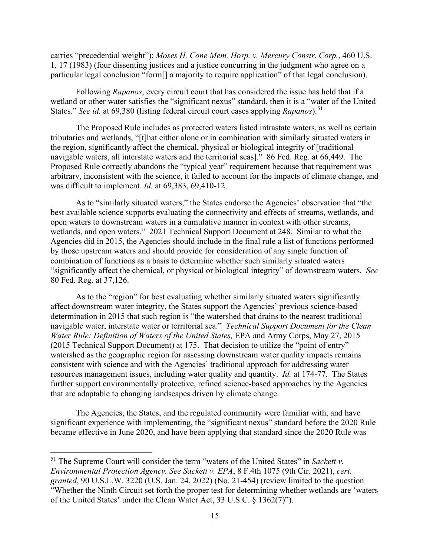carries "precedential weight"); *Moses H. Cone Mem. Hosp. v. Mercury Constr. Corp.*, 460 U.S. 1, 17 (1983) (four dissenting justices and a justice concurring in the judgment who agree on a particular legal conclusion "form[] a majority to require application" of that legal conclusion).

Following *Rapanos*, every circuit court that has considered the issue has held that if a wetland or other water satisfies the "significant nexus" standard, then it is a "water of the United States." *See id.* at 69,380 (listing federal circuit court cases applying *Rapanos*).<sup>[51](#page-14-0)</sup>

The Proposed Rule includes as protected waters listed intrastate waters, as well as certain tributaries and wetlands, "[t]hat either alone or in combination with similarly situated waters in the region, significantly affect the chemical, physical or biological integrity of [traditional navigable waters, all interstate waters and the territorial seas]." 86 Fed. Reg. at 66,449. The Proposed Rule correctly abandons the "typical year" requirement because that requirement was arbitrary, inconsistent with the science, it failed to account for the impacts of climate change, and was difficult to implement. *Id.* at 69,383, 69,410-12.

As to "similarly situated waters," the States endorse the Agencies' observation that "the best available science supports evaluating the connectivity and effects of streams, wetlands, and open waters to downstream waters in a cumulative manner in context with other streams, wetlands, and open waters." 2021 Technical Support Document at 248. Similar to what the Agencies did in 2015, the Agencies should include in the final rule a list of functions performed by those upstream waters and should provide for consideration of any single function of combination of functions as a basis to determine whether such similarly situated waters "significantly affect the chemical, or physical or biological integrity" of downstream waters. *See*  80 Fed. Reg. at 37,126.

As to the "region" for best evaluating whether similarly situated waters significantly affect downstream water integrity, the States support the Agencies' previous science-based determination in 2015 that such region is "the watershed that drains to the nearest traditional navigable water, interstate water or territorial sea." *Technical Support Document for the Clean Water Rule: Definition of Waters of the United States, EPA and Army Corps, May 27, 2015* (2015 Technical Support Document) at 175. That decision to utilize the "point of entry" watershed as the geographic region for assessing downstream water quality impacts remains consistent with science and with the Agencies' traditional approach for addressing water resources management issues, including water quality and quantity. *Id.* at 174-77. The States further support environmentally protective, refined science-based approaches by the Agencies that are adaptable to changing landscapes driven by climate change.

The Agencies, the States, and the regulated community were familiar with, and have significant experience with implementing, the "significant nexus" standard before the 2020 Rule became effective in June 2020, and have been applying that standard since the 2020 Rule was

<span id="page-14-0"></span><sup>51</sup> The Supreme Court will consider the term "waters of the United States" in *Sackett v. Environmental Protection Agency. See Sackett v. EPA*, 8 F.4th 1075 (9th Cir. 2021), *cert. granted*, 90 U.S.L.W. 3220 (U.S. Jan. 24, 2022) (No. 21-454) (review limited to the question "Whether the Ninth Circuit set forth the proper test for determining whether wetlands are 'waters of the United States' under the Clean Water Act, 33 U.S.C. § 1362(7)").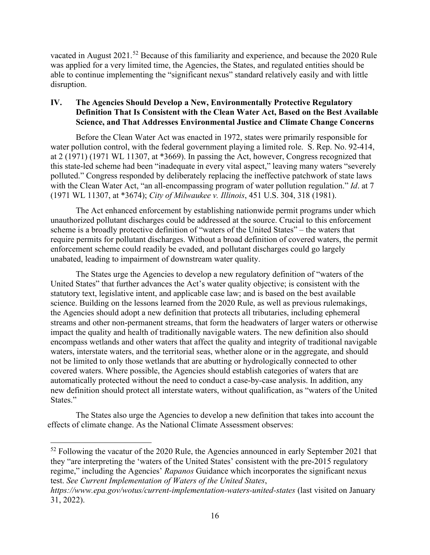vacated in August 2021.[52](#page-15-0) Because of this familiarity and experience, and because the 2020 Rule was applied for a very limited time, the Agencies, the States, and regulated entities should be able to continue implementing the "significant nexus" standard relatively easily and with little disruption.

# **IV. The Agencies Should Develop a New, Environmentally Protective Regulatory Definition That Is Consistent with the Clean Water Act, Based on the Best Available Science, and That Addresses Environmental Justice and Climate Change Concerns**

Before the Clean Water Act was enacted in 1972, states were primarily responsible for water pollution control, with the federal government playing a limited role. S. Rep. No. 92-414, at 2 (1971) (1971 WL 11307, at \*3669). In passing the Act, however, Congress recognized that this state-led scheme had been "inadequate in every vital aspect," leaving many waters "severely polluted." Congress responded by deliberately replacing the ineffective patchwork of state laws with the Clean Water Act, "an all-encompassing program of water pollution regulation." *Id*. at 7 (1971 WL 11307, at \*3674); *City of Milwaukee v. Illinois*, 451 U.S. 304, 318 (1981).

The Act enhanced enforcement by establishing nationwide permit programs under which unauthorized pollutant discharges could be addressed at the source. Crucial to this enforcement scheme is a broadly protective definition of "waters of the United States" – the waters that require permits for pollutant discharges. Without a broad definition of covered waters, the permit enforcement scheme could readily be evaded, and pollutant discharges could go largely unabated, leading to impairment of downstream water quality.

The States urge the Agencies to develop a new regulatory definition of "waters of the United States" that further advances the Act's water quality objective; is consistent with the statutory text, legislative intent, and applicable case law; and is based on the best available science. Building on the lessons learned from the 2020 Rule, as well as previous rulemakings, the Agencies should adopt a new definition that protects all tributaries, including ephemeral streams and other non-permanent streams, that form the headwaters of larger waters or otherwise impact the quality and health of traditionally navigable waters. The new definition also should encompass wetlands and other waters that affect the quality and integrity of traditional navigable waters, interstate waters, and the territorial seas, whether alone or in the aggregate, and should not be limited to only those wetlands that are abutting or hydrologically connected to other covered waters. Where possible, the Agencies should establish categories of waters that are automatically protected without the need to conduct a case-by-case analysis. In addition, any new definition should protect all interstate waters, without qualification, as "waters of the United States."

The States also urge the Agencies to develop a new definition that takes into account the effects of climate change. As the National Climate Assessment observes:

<span id="page-15-0"></span><sup>&</sup>lt;sup>52</sup> Following the vacatur of the 2020 Rule, the Agencies announced in early September 2021 that they "are interpreting the 'waters of the United States' consistent with the pre-2015 regulatory regime," including the Agencies' *Rapanos* Guidance which incorporates the significant nexus test. *See Current Implementation of Waters of the United States*,

*https://www.epa.gov/wotus/current-implementation-waters-united-states* (last visited on January 31, 2022).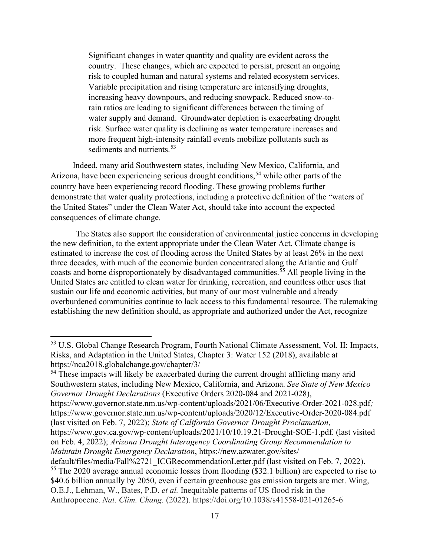Significant changes in water quantity and quality are evident across the country. These changes, which are expected to persist, present an ongoing risk to coupled human and natural systems and related ecosystem services. Variable precipitation and rising temperature are intensifying droughts, increasing heavy downpours, and reducing snowpack. Reduced snow-torain ratios are leading to significant differences between the timing of water supply and demand. Groundwater depletion is exacerbating drought risk. Surface water quality is declining as water temperature increases and more frequent high-intensity rainfall events mobilize pollutants such as sediments and nutrients.<sup>[53](#page-16-0)</sup>

Indeed, many arid Southwestern states, including New Mexico, California, and Arizona, have been experiencing serious drought conditions,<sup>[54](#page-16-1)</sup> while other parts of the country have been experiencing record flooding. These growing problems further demonstrate that water quality protections, including a protective definition of the "waters of the United States" under the Clean Water Act, should take into account the expected consequences of climate change.

The States also support the consideration of environmental justice concerns in developing the new definition, to the extent appropriate under the Clean Water Act. Climate change is estimated to increase the cost of flooding across the United States by at least 26% in the next three decades, with much of the economic burden concentrated along the Atlantic and Gulf coasts and borne disproportionately by disadvantaged communities. [55](#page-16-2) All people living in the United States are entitled to clean water for drinking, recreation, and countless other uses that sustain our life and economic activities, but many of our most vulnerable and already overburdened communities continue to lack access to this fundamental resource. The rulemaking establishing the new definition should, as appropriate and authorized under the Act, recognize

<span id="page-16-1"></span><sup>54</sup> These impacts will likely be exacerbated during the current drought afflicting many arid Southwestern states, including New Mexico, California, and Arizona. *See State of New Mexico Governor Drought Declarations* (Executive Orders 2020-084 and 2021-028), https://www.governor.state.nm.us/wp-content/uploads/2021/06/Executive-Order-2021-028.pdf*;*  https://www.governor.state.nm.us/wp-content/uploads/2020/12/Executive-Order-2020-084.pdf (last visited on Feb. 7, 2022); *State of California Governor Drought Proclamation*, https://www.gov.ca.gov/wp-content/uploads/2021/10/10.19.21-Drought-SOE-1.pdf. (last visited

on Feb. 4, 2022); *Arizona Drought Interagency Coordinating Group Recommendation to Maintain Drought Emergency Declaration*, https://new.azwater.gov/sites/ default/files/media/Fall%2721\_ICGRecommendationLetter.pdf (last visited on Feb. 7, 2022). <sup>55</sup> The 2020 average annual economic losses from flooding (\$32.1 billion) are expected to rise to \$40.6 billion annually by 2050, even if certain greenhouse gas emission targets are met. Wing,

<span id="page-16-2"></span>O.E.J., Lehman, W., Bates, P.D. *et al.* Inequitable patterns of US flood risk in the

<span id="page-16-0"></span><sup>53</sup> U.S. Global Change Research Program, Fourth National Climate Assessment, Vol. II: Impacts, Risks, and Adaptation in the United States, Chapter 3: Water 152 (2018), available at https://nca2018.globalchange.gov/chapter/3/

Anthropocene. *Nat. Clim. Chang.* (2022). https://doi.org/10.1038/s41558-021-01265-6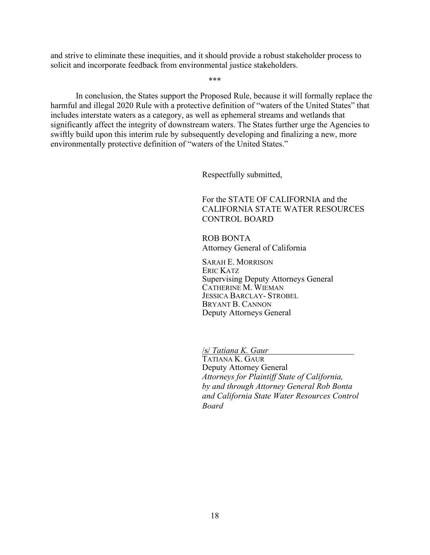and strive to eliminate these inequities, and it should provide a robust stakeholder process to solicit and incorporate feedback from environmental justice stakeholders.

In conclusion, the States support the Proposed Rule, because it will formally replace the harmful and illegal 2020 Rule with a protective definition of "waters of the United States" that includes interstate waters as a category, as well as ephemeral streams and wetlands that significantly affect the integrity of downstream waters. The States further urge the Agencies to swiftly build upon this interim rule by subsequently developing and finalizing a new, more environmentally protective definition of "waters of the United States."

\*\*\*

Respectfully submitted,

For the STATE OF CALIFORNIA and the CALIFORNIA STATE WATER RESOURCES CONTROL BOARD

ROB BONTA Attorney General of California

SARAH E. MORRISON ERIC KATZ Supervising Deputy Attorneys General CATHERINE M. WIEMAN JESSICA BARCLAY- STROBEL BRYANT B. CANNON Deputy Attorneys General

/s/ *Tatiana K. Gaur*

TATIANA K. GAUR Deputy Attorney General *Attorneys for Plaintiff State of California, by and through Attorney General Rob Bonta and California State Water Resources Control Board*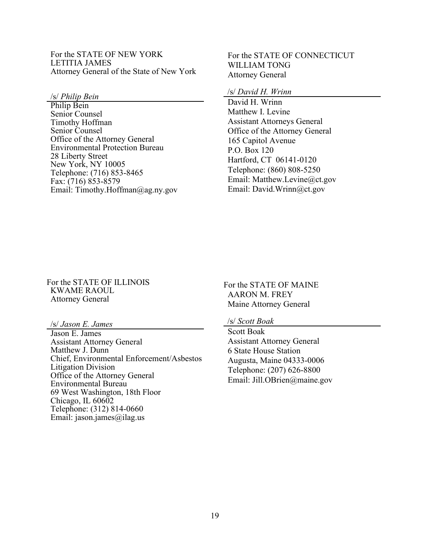For the STATE OF NEW YORK LETITIA JAMES Attorney General of the State of New York

/s/ *Philip Bein*

Philip Bein Senior Counsel Timothy Hoffman Senior Counsel Office of the Attorney General Environmental Protection Bureau 28 Liberty Street New York, NY 10005 Telephone: (716) 853-8465 Fax: (716) 853-8579 Email: Timothy.Hoffman@ag.ny.gov For the STATE OF CONNECTICUT WILLIAM TONG Attorney General

### /s/ *David H. Wrinn*

David H. Wrinn Matthew I. Levine Assistant Attorneys General Office of the Attorney General 165 Capitol Avenue P.O. Box 120 Hartford, CT 06141-0120 Telephone: (860) 808-5250 Email: Matthew.Levine@ct.gov Email: David.Wrinn@ct.gov

#### For the STATE OF ILLINOIS KWAME RAOUL Attorney General

/s/ *Jason E. James*

Jason E. James Assistant Attorney General Matthew J. Dunn Chief, Environmental Enforcement/Asbestos Litigation Division Office of the Attorney General Environmental Bureau 69 West Washington, 18th Floor Chicago, IL 60602 Telephone: (312) 814-0660 Email: jason.james@ilag.us

For the STATE OF MAINE AARON M. FREY Maine Attorney General

#### /s/ *Scott Boak*

Scott Boak Assistant Attorney General 6 State House Station Augusta, Maine 04333-0006 Telephone: (207) 626-8800 Email: Jill.OBrien@maine.gov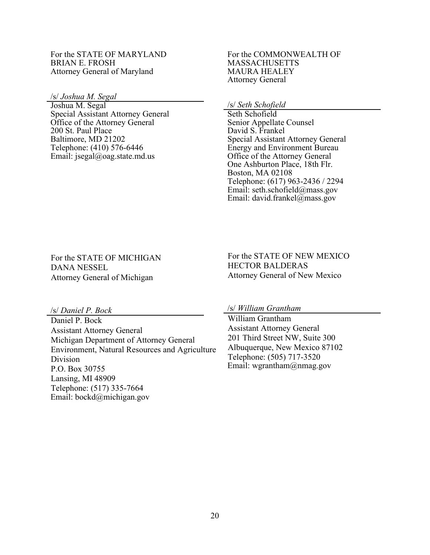#### For the STATE OF MARYLAND BRIAN E. FROSH Attorney General of Maryland

/s/ *Joshua M. Segal*

Joshua M. Segal Special Assistant Attorney General Office of the Attorney General 200 St. Paul Place Baltimore, MD 21202 Telephone: (410) 576-6446 Email: jsegal@oag.state.md.us

#### For the COMMONWEALTH OF MASSACHUSETTS MAURA HEALEY Attorney General

/s/ *Seth Schofield*

Seth Schofield Senior Appellate Counsel David S. Frankel Special Assistant Attorney General Energy and Environment Bureau Office of the Attorney General One Ashburton Place, 18th Flr. Boston, MA 02108 Telephone: (617) 963-2436 / 2294 Email: seth.schofield@mass.gov Email: david.frankel@mass.gov

For the STATE OF MICHIGAN DANA NESSEL Attorney General of Michigan

For the STATE OF NEW MEXICO HECTOR BALDERAS Attorney General of New Mexico

/s/ *Daniel P. Bock*

Daniel P. Bock Assistant Attorney General Michigan Department of Attorney General Environment, Natural Resources and Agriculture Division P.O. Box 30755 Lansing, MI 48909 Telephone: (517) 335-7664 Email: bockd@michigan.gov

/s/ *William Grantham*

William Grantham Assistant Attorney General 201 Third Street NW, Suite 300 Albuquerque, New Mexico 87102 Telephone: (505) 717-3520 Email: wgrantham@nmag.gov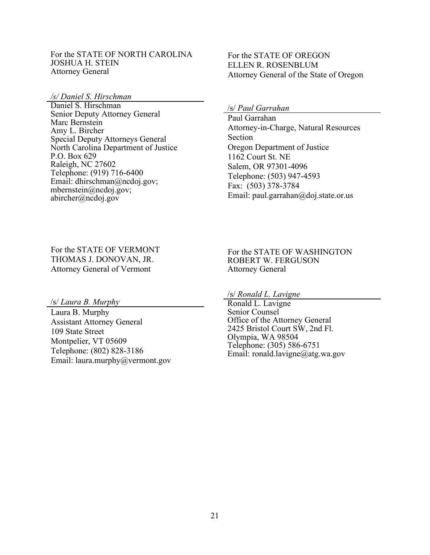#### For the STATE OF NORTH CAROLINA JOSHUA H. STEIN Attorney General

*/s/ Daniel S. Hirschman*

Daniel S. Hirschman Senior Deputy Attorney General Marc Bernstein Amy L. Bircher Special Deputy Attorneys General North Carolina Department of Justice P.O. Box 629 Raleigh, NC 27602 Telephone: (919) 716-6400 Email: dhirschman@ncdoj.gov; mbernstein@ncdoj.gov; abircher@ncdoj.gov

## For the STATE OF OREGON ELLEN R. ROSENBLUM Attorney General of the State of Oregon

/s/ *Paul Garrahan*

Paul Garrahan Attorney-in-Charge, Natural Resources Section Oregon Department of Justice 1162 Court St. NE Salem, OR 97301-4096 Telephone: (503) 947-4593 Fax: (503) 378-3784 Email: paul.garrahan@doj.state.or.us

For the STATE OF VERMONT THOMAS J. DONOVAN, JR. Attorney General of Vermont

For the STATE OF WASHINGTON ROBERT W. FERGUSON Attorney General

/s/ *Laura B. Murphy*

Laura B. Murphy Assistant Attorney General 109 State Street Montpelier, VT 05609 Telephone: (802) 828-3186 Email: laura.murphy@vermont.gov /s/ *Ronald L. Lavigne*

Ronald L. Lavigne Senior Counsel Office of the Attorney General 2425 Bristol Court SW, 2nd Fl. Olympia, WA 98504 Telephone: (305) 586-6751 Email: ronald.lavigne@atg.wa.gov